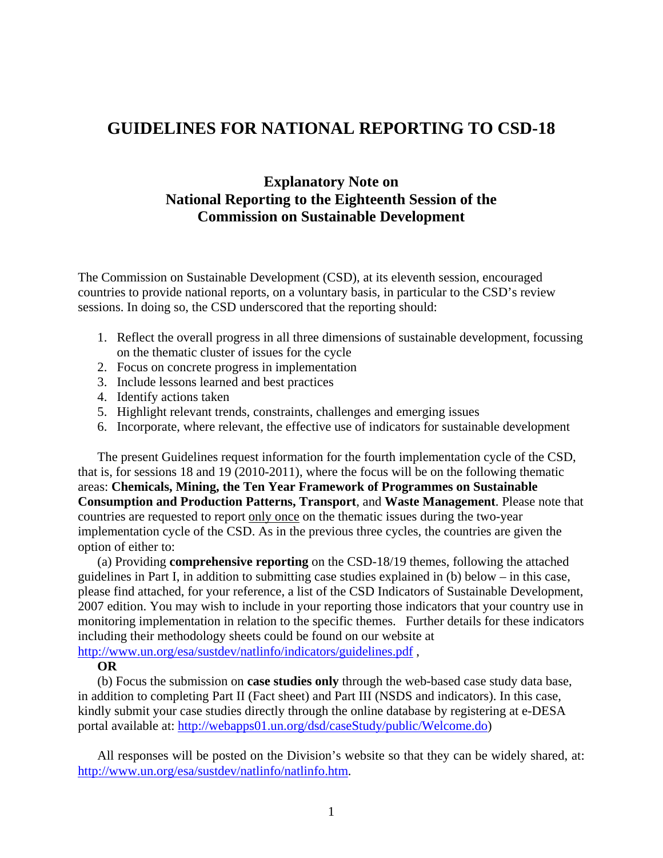# **GUIDELINES FOR NATIONAL REPORTING TO CSD-18**

# **Explanatory Note on National Reporting to the Eighteenth Session of the Commission on Sustainable Development**

The Commission on Sustainable Development (CSD), at its eleventh session, encouraged countries to provide national reports, on a voluntary basis, in particular to the CSD's review sessions. In doing so, the CSD underscored that the reporting should:

- 1. Reflect the overall progress in all three dimensions of sustainable development, focussing on the thematic cluster of issues for the cycle
- 2. Focus on concrete progress in implementation
- 3. Include lessons learned and best practices
- 4. Identify actions taken
- 5. Highlight relevant trends, constraints, challenges and emerging issues
- 6. Incorporate, where relevant, the effective use of indicators for sustainable development

The present Guidelines request information for the fourth implementation cycle of the CSD, that is, for sessions 18 and 19 (2010-2011), where the focus will be on the following thematic areas: **Chemicals, Mining, the Ten Year Framework of Programmes on Sustainable Consumption and Production Patterns, Transport**, and **Waste Management**. Please note that countries are requested to report only once on the thematic issues during the two-year implementation cycle of the CSD. As in the previous three cycles, the countries are given the option of either to:

(a) Providing **comprehensive reporting** on the CSD-18/19 themes, following the attached guidelines in Part I, in addition to submitting case studies explained in (b) below – in this case, please find attached, for your reference, a list of the CSD Indicators of Sustainable Development, 2007 edition. You may wish to include in your reporting those indicators that your country use in monitoring implementation in relation to the specific themes. Further details for these indicators including their methodology sheets could be found on our website at

<http://www.un.org/esa/sustdev/natlinfo/indicators/guidelines.pdf>,

#### **OR**

(b) Focus the submission on **case studies only** through the web-based case study data base, in addition to completing Part II (Fact sheet) and Part III (NSDS and indicators). In this case, kindly submit your case studies directly through the online database by registering at e-DESA portal available at: [http://webapps01.un.org/dsd/caseStudy/public/Welcome.do\)](http://webapps01.un.org/dsd/caseStudy/public/Welcome.do)

All responses will be posted on the Division's website so that they can be widely shared, at: [http://www.un.org/esa/sustdev/natlinfo/natlinfo.htm.](http://www.un.org/esa/sustdev/natlinfo/natlinfo.htm)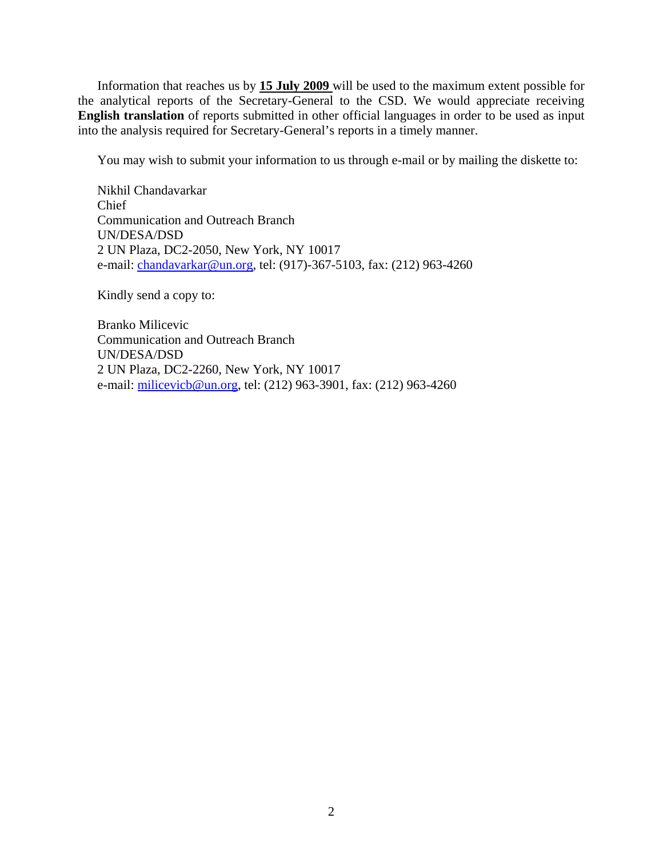Information that reaches us by **15 July 2009** will be used to the maximum extent possible for the analytical reports of the Secretary-General to the CSD. We would appreciate receiving **English translation** of reports submitted in other official languages in order to be used as input into the analysis required for Secretary-General's reports in a timely manner.

You may wish to submit your information to us through e-mail or by mailing the diskette to:

Nikhil Chandavarkar Chief Communication and Outreach Branch UN/DESA/DSD 2 UN Plaza, DC2-2050, New York, NY 10017 e-mail: *chandavarkar@un.org*, tel: (917)-367-5103, fax: (212) 963-4260

Kindly send a copy to:

Branko Milicevic Communication and Outreach Branch UN/DESA/DSD 2 UN Plaza, DC2-2260, New York, NY 10017 e-mail: [milicevicb@un.org,](mailto:milicevicb@un.org) tel: (212) 963-3901, fax: (212) 963-4260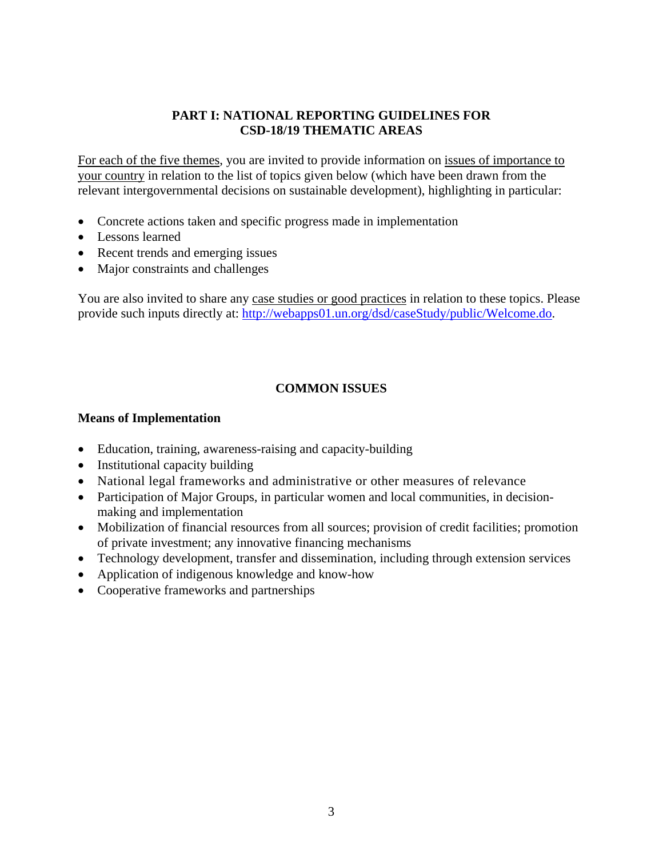#### **PART I: NATIONAL REPORTING GUIDELINES FOR CSD-18/19 THEMATIC AREAS**

For each of the five themes, you are invited to provide information on issues of importance to your country in relation to the list of topics given below (which have been drawn from the relevant intergovernmental decisions on sustainable development), highlighting in particular:

- Concrete actions taken and specific progress made in implementation
- Lessons learned
- Recent trends and emerging issues
- Major constraints and challenges

You are also invited to share any case studies or good practices in relation to these topics. Please provide such inputs directly at: [http://webapps01.un.org/dsd/caseStudy/public/Welcome.do.](http://webapps01.un.org/dsd/caseStudy/public/Welcome.do)

### **COMMON ISSUES**

#### **Means of Implementation**

- Education, training, awareness-raising and capacity-building
- Institutional capacity building
- National legal frameworks and administrative or other measures of relevance
- Participation of Major Groups, in particular women and local communities, in decisionmaking and implementation
- Mobilization of financial resources from all sources; provision of credit facilities; promotion of private investment; any innovative financing mechanisms
- Technology development, transfer and dissemination, including through extension services
- Application of indigenous knowledge and know-how
- Cooperative frameworks and partnerships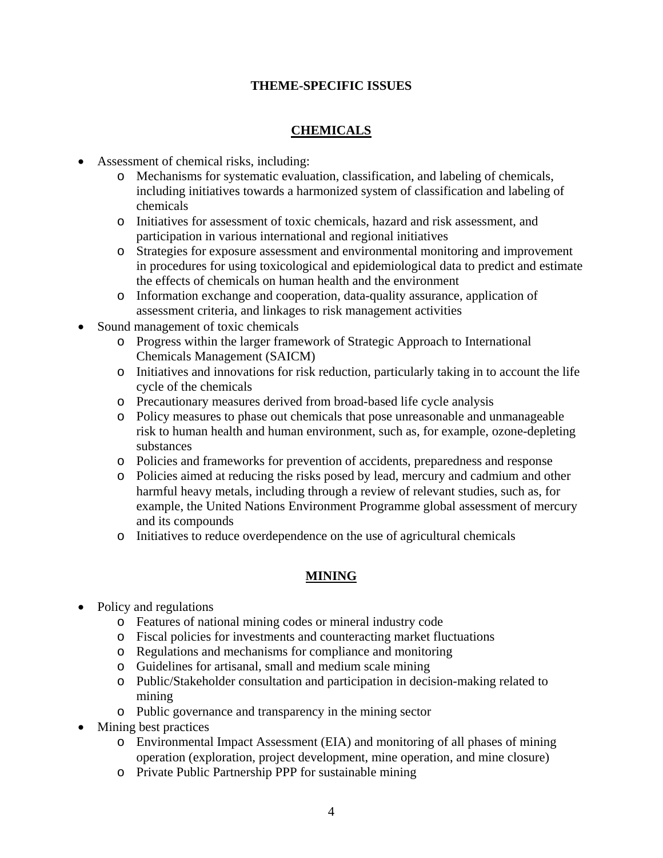### **THEME-SPECIFIC ISSUES**

## **CHEMICALS**

- Assessment of chemical risks, including:
	- o Mechanisms for systematic evaluation, classification, and labeling of chemicals, including initiatives towards a harmonized system of classification and labeling of chemicals
	- o Initiatives for assessment of toxic chemicals, hazard and risk assessment, and participation in various international and regional initiatives
	- o Strategies for exposure assessment and environmental monitoring and improvement in procedures for using toxicological and epidemiological data to predict and estimate the effects of chemicals on human health and the environment
	- o Information exchange and cooperation, data-quality assurance, application of assessment criteria, and linkages to risk management activities
- Sound management of toxic chemicals
	- o Progress within the larger framework of Strategic Approach to International Chemicals Management (SAICM)
	- o Initiatives and innovations for risk reduction, particularly taking in to account the life cycle of the chemicals
	- o Precautionary measures derived from broad-based life cycle analysis
	- o Policy measures to phase out chemicals that pose unreasonable and unmanageable risk to human health and human environment, such as, for example, ozone-depleting substances
	- o Policies and frameworks for prevention of accidents, preparedness and response
	- o Policies aimed at reducing the risks posed by lead, mercury and cadmium and other harmful heavy metals, including through a review of relevant studies, such as, for example, the United Nations Environment Programme global assessment of mercury and its compounds
	- o Initiatives to reduce overdependence on the use of agricultural chemicals

## **MINING**

- Policy and regulations
	- o Features of national mining codes or mineral industry code
	- o Fiscal policies for investments and counteracting market fluctuations
	- o Regulations and mechanisms for compliance and monitoring
	- o Guidelines for artisanal, small and medium scale mining
	- o Public/Stakeholder consultation and participation in decision-making related to mining
	- o Public governance and transparency in the mining sector
- Mining best practices
	- o Environmental Impact Assessment (EIA) and monitoring of all phases of mining operation (exploration, project development, mine operation, and mine closure)
	- o Private Public Partnership PPP for sustainable mining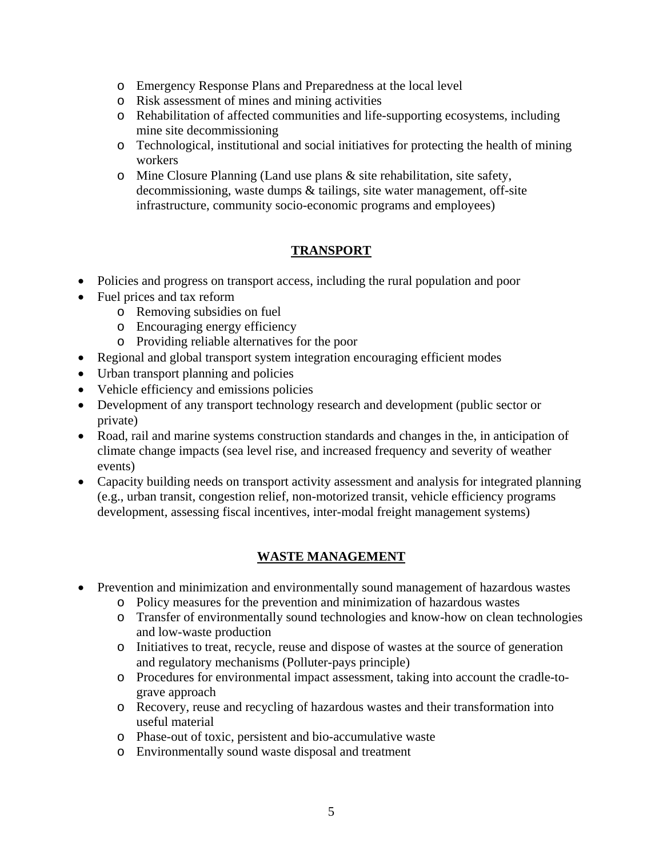- o Emergency Response Plans and Preparedness at the local level
- o Risk assessment of mines and mining activities
- o Rehabilitation of affected communities and life-supporting ecosystems, including mine site decommissioning
- o Technological, institutional and social initiatives for protecting the health of mining workers
- o Mine Closure Planning (Land use plans & site rehabilitation, site safety, decommissioning, waste dumps & tailings, site water management, off-site infrastructure, community socio-economic programs and employees)

## **TRANSPORT**

- Policies and progress on transport access, including the rural population and poor
- Fuel prices and tax reform
	- o Removing subsidies on fuel
	- o Encouraging energy efficiency
	- o Providing reliable alternatives for the poor
- Regional and global transport system integration encouraging efficient modes
- Urban transport planning and policies
- Vehicle efficiency and emissions policies
- Development of any transport technology research and development (public sector or private)
- Road, rail and marine systems construction standards and changes in the, in anticipation of climate change impacts (sea level rise, and increased frequency and severity of weather events)
- Capacity building needs on transport activity assessment and analysis for integrated planning (e.g., urban transit, congestion relief, non-motorized transit, vehicle efficiency programs development, assessing fiscal incentives, inter-modal freight management systems)

## **WASTE MANAGEMENT**

- Prevention and minimization and environmentally sound management of hazardous wastes
	- o Policy measures for the prevention and minimization of hazardous wastes
	- o Transfer of environmentally sound technologies and know-how on clean technologies and low-waste production
	- o Initiatives to treat, recycle, reuse and dispose of wastes at the source of generation and regulatory mechanisms (Polluter-pays principle)
	- o Procedures for environmental impact assessment, taking into account the cradle-tograve approach
	- o Recovery, reuse and recycling of hazardous wastes and their transformation into useful material
	- o Phase-out of toxic, persistent and bio-accumulative waste
	- o Environmentally sound waste disposal and treatment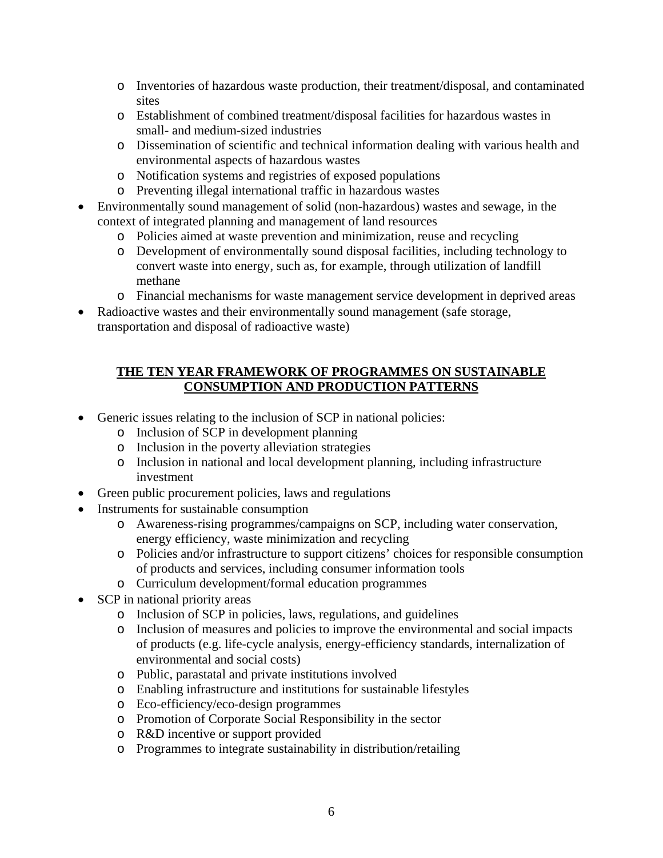- o Inventories of hazardous waste production, their treatment/disposal, and contaminated sites
- o Establishment of combined treatment/disposal facilities for hazardous wastes in small- and medium-sized industries
- o Dissemination of scientific and technical information dealing with various health and environmental aspects of hazardous wastes
- o Notification systems and registries of exposed populations
- o Preventing illegal international traffic in hazardous wastes
- Environmentally sound management of solid (non-hazardous) wastes and sewage, in the context of integrated planning and management of land resources
	- o Policies aimed at waste prevention and minimization, reuse and recycling
	- o Development of environmentally sound disposal facilities, including technology to convert waste into energy, such as, for example, through utilization of landfill methane
	- o Financial mechanisms for waste management service development in deprived areas
- Radioactive wastes and their environmentally sound management (safe storage, transportation and disposal of radioactive waste)

### **THE TEN YEAR FRAMEWORK OF PROGRAMMES ON SUSTAINABLE CONSUMPTION AND PRODUCTION PATTERNS**

- Generic issues relating to the inclusion of SCP in national policies:
	- o Inclusion of SCP in development planning
	- o Inclusion in the poverty alleviation strategies
	- o Inclusion in national and local development planning, including infrastructure investment
- Green public procurement policies, laws and regulations
- Instruments for sustainable consumption
	- o Awareness-rising programmes/campaigns on SCP, including water conservation, energy efficiency, waste minimization and recycling
	- o Policies and/or infrastructure to support citizens' choices for responsible consumption of products and services, including consumer information tools
	- o Curriculum development/formal education programmes
- SCP in national priority areas
	- o Inclusion of SCP in policies, laws, regulations, and guidelines
	- o Inclusion of measures and policies to improve the environmental and social impacts of products (e.g. life-cycle analysis, energy-efficiency standards, internalization of environmental and social costs)
	- o Public, parastatal and private institutions involved
	- o Enabling infrastructure and institutions for sustainable lifestyles
	- o Eco-efficiency/eco-design programmes
	- o Promotion of Corporate Social Responsibility in the sector
	- o R&D incentive or support provided
	- o Programmes to integrate sustainability in distribution/retailing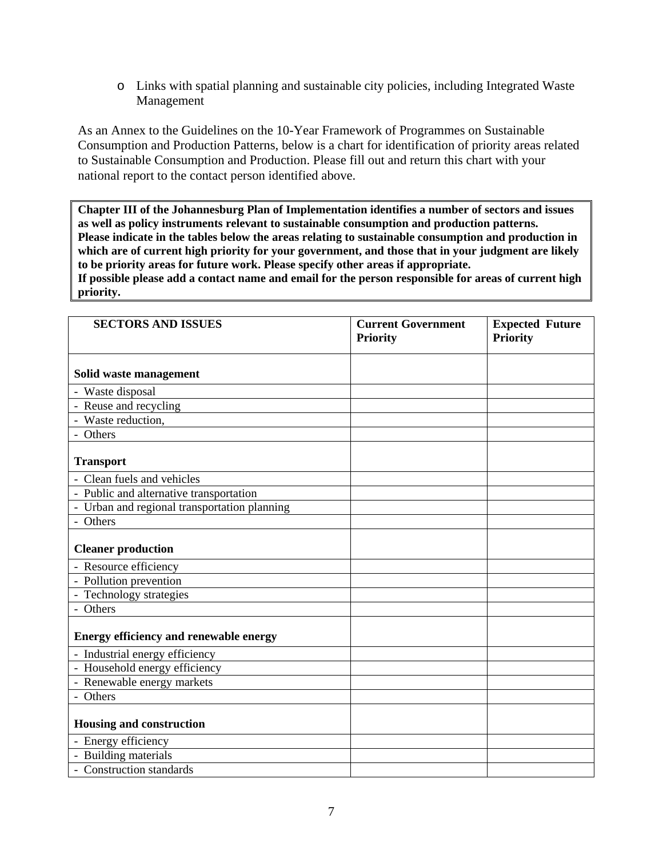o Links with spatial planning and sustainable city policies, including Integrated Waste Management

As an Annex to the Guidelines on the 10-Year Framework of Programmes on Sustainable Consumption and Production Patterns, below is a chart for identification of priority areas related to Sustainable Consumption and Production. Please fill out and return this chart with your national report to the contact person identified above.

**Chapter III of the Johannesburg Plan of Implementation identifies a number of sectors and issues as well as policy instruments relevant to sustainable consumption and production patterns. Please indicate in the tables below the areas relating to sustainable consumption and production in which are of current high priority for your government, and those that in your judgment are likely to be priority areas for future work. Please specify other areas if appropriate. If possible please add a contact name and email for the person responsible for areas of current high priority.**

| <b>SECTORS AND ISSUES</b>                     | <b>Current Government</b><br><b>Priority</b> | <b>Expected Future</b><br><b>Priority</b> |
|-----------------------------------------------|----------------------------------------------|-------------------------------------------|
|                                               |                                              |                                           |
| Solid waste management                        |                                              |                                           |
| - Waste disposal                              |                                              |                                           |
| - Reuse and recycling                         |                                              |                                           |
| - Waste reduction,                            |                                              |                                           |
| - Others                                      |                                              |                                           |
| <b>Transport</b>                              |                                              |                                           |
| - Clean fuels and vehicles                    |                                              |                                           |
| - Public and alternative transportation       |                                              |                                           |
| - Urban and regional transportation planning  |                                              |                                           |
| - Others                                      |                                              |                                           |
| <b>Cleaner production</b>                     |                                              |                                           |
| - Resource efficiency                         |                                              |                                           |
| - Pollution prevention                        |                                              |                                           |
| - Technology strategies                       |                                              |                                           |
| - Others                                      |                                              |                                           |
| <b>Energy efficiency and renewable energy</b> |                                              |                                           |
| - Industrial energy efficiency                |                                              |                                           |
| - Household energy efficiency                 |                                              |                                           |
| - Renewable energy markets                    |                                              |                                           |
| - Others                                      |                                              |                                           |
| Housing and construction                      |                                              |                                           |
| - Energy efficiency                           |                                              |                                           |
| - Building materials                          |                                              |                                           |
| - Construction standards                      |                                              |                                           |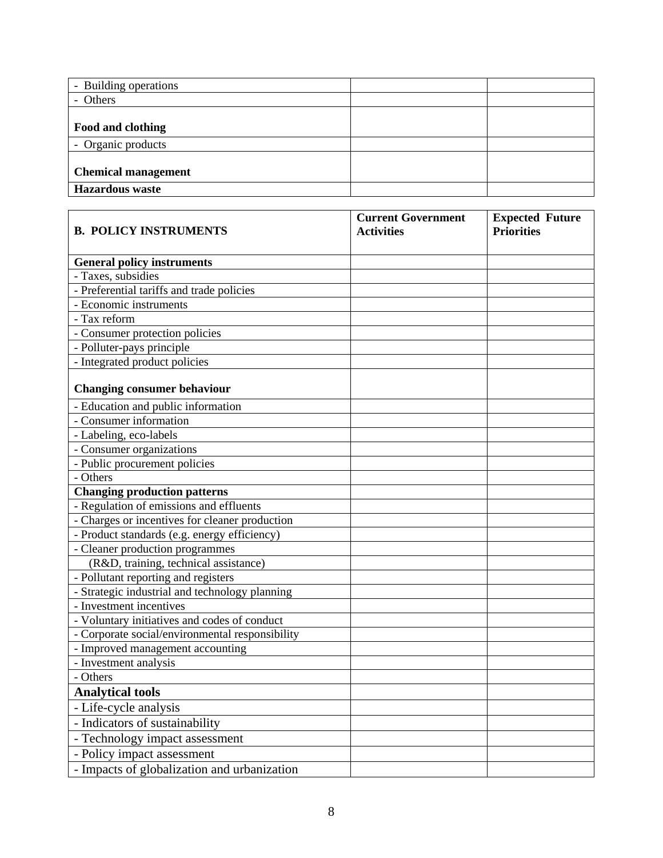| - Building operations      |  |
|----------------------------|--|
| Others                     |  |
|                            |  |
| Food and clothing          |  |
| - Organic products         |  |
|                            |  |
| <b>Chemical management</b> |  |
| <b>Hazardous</b> waste     |  |

| <b>B. POLICY INSTRUMENTS</b>                    | <b>Current Government</b><br><b>Activities</b> | <b>Expected Future</b><br><b>Priorities</b> |
|-------------------------------------------------|------------------------------------------------|---------------------------------------------|
| <b>General policy instruments</b>               |                                                |                                             |
| - Taxes, subsidies                              |                                                |                                             |
| - Preferential tariffs and trade policies       |                                                |                                             |
| - Economic instruments                          |                                                |                                             |
| - Tax reform                                    |                                                |                                             |
| - Consumer protection policies                  |                                                |                                             |
| - Polluter-pays principle                       |                                                |                                             |
| - Integrated product policies                   |                                                |                                             |
| <b>Changing consumer behaviour</b>              |                                                |                                             |
| - Education and public information              |                                                |                                             |
| - Consumer information                          |                                                |                                             |
| - Labeling, eco-labels                          |                                                |                                             |
| - Consumer organizations                        |                                                |                                             |
| - Public procurement policies                   |                                                |                                             |
| - Others                                        |                                                |                                             |
| <b>Changing production patterns</b>             |                                                |                                             |
| - Regulation of emissions and effluents         |                                                |                                             |
| - Charges or incentives for cleaner production  |                                                |                                             |
| - Product standards (e.g. energy efficiency)    |                                                |                                             |
| - Cleaner production programmes                 |                                                |                                             |
| (R&D, training, technical assistance)           |                                                |                                             |
| - Pollutant reporting and registers             |                                                |                                             |
| - Strategic industrial and technology planning  |                                                |                                             |
| - Investment incentives                         |                                                |                                             |
| - Voluntary initiatives and codes of conduct    |                                                |                                             |
| - Corporate social/environmental responsibility |                                                |                                             |
| - Improved management accounting                |                                                |                                             |
| - Investment analysis                           |                                                |                                             |
| - Others                                        |                                                |                                             |
| <b>Analytical tools</b>                         |                                                |                                             |
| - Life-cycle analysis                           |                                                |                                             |
| - Indicators of sustainability                  |                                                |                                             |
| - Technology impact assessment                  |                                                |                                             |
| - Policy impact assessment                      |                                                |                                             |
| - Impacts of globalization and urbanization     |                                                |                                             |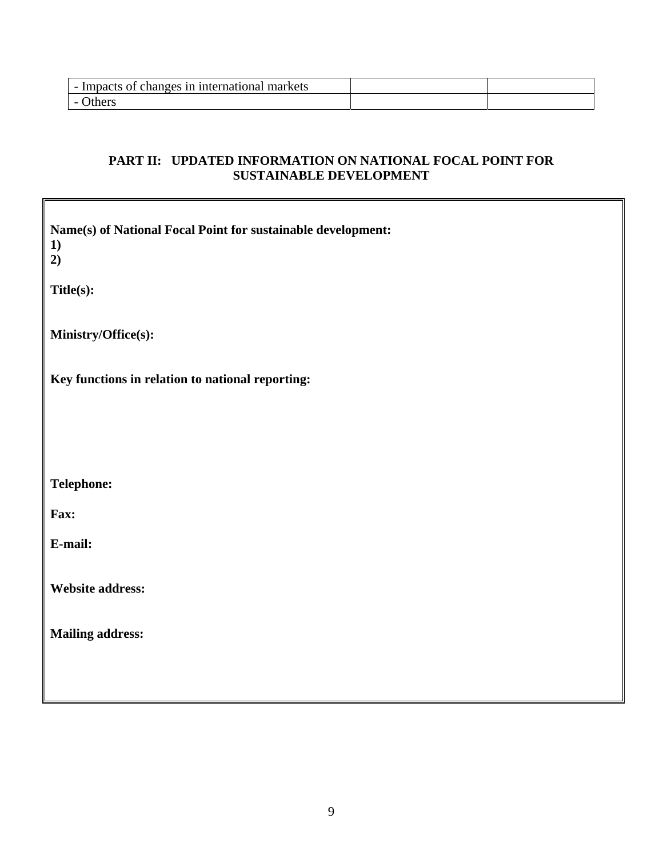| changes in international.<br>Impacts of<br>markets<br>- 1 |  |
|-----------------------------------------------------------|--|
| <b>Thers</b>                                              |  |

## **PART II: UPDATED INFORMATION ON NATIONAL FOCAL POINT FOR SUSTAINABLE DEVELOPMENT**

| Name(s) of National Focal Point for sustainable development:<br>1)<br>2) |
|--------------------------------------------------------------------------|
| Title(s):                                                                |
| Ministry/Office(s):                                                      |
| Key functions in relation to national reporting:                         |
|                                                                          |
| Telephone:                                                               |
| Fax:                                                                     |
| E-mail:                                                                  |
| Website address:                                                         |
| <b>Mailing address:</b>                                                  |
|                                                                          |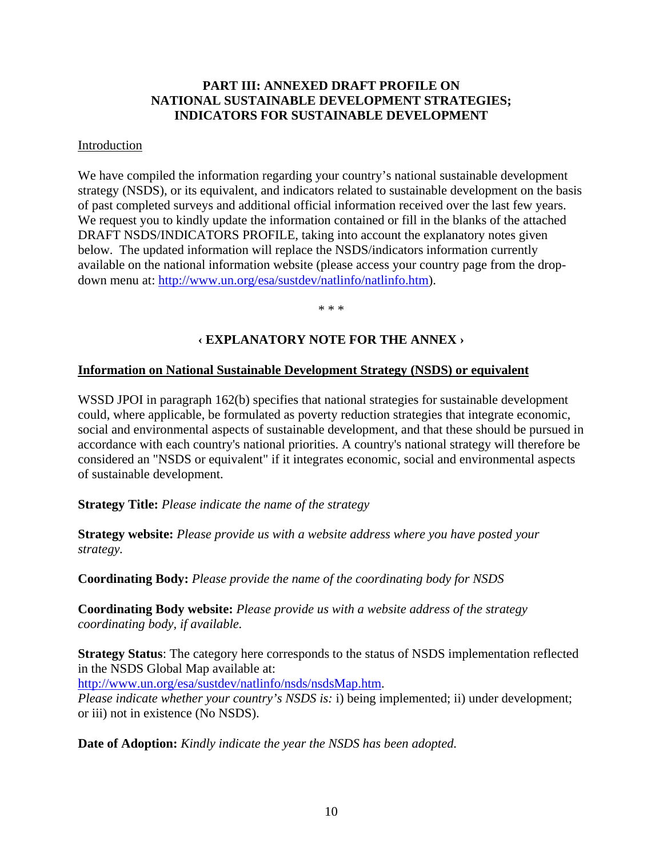#### **PART III: ANNEXED DRAFT PROFILE ON NATIONAL SUSTAINABLE DEVELOPMENT STRATEGIES; INDICATORS FOR SUSTAINABLE DEVELOPMENT**

#### Introduction

We have compiled the information regarding your country's national sustainable development strategy (NSDS), or its equivalent, and indicators related to sustainable development on the basis of past completed surveys and additional official information received over the last few years. We request you to kindly update the information contained or fill in the blanks of the attached DRAFT NSDS/INDICATORS PROFILE, taking into account the explanatory notes given below. The updated information will replace the NSDS/indicators information currently available on the national information website (please access your country page from the dropdown menu at: [http://www.un.org/esa/sustdev/natlinfo/natlinfo.htm\)](http://www.un.org/esa/sustdev/natlinfo/natlinfo.htm).

\* \* \*

### **‹ EXPLANATORY NOTE FOR THE ANNEX ›**

#### **Information on National Sustainable Development Strategy (NSDS) or equivalent**

WSSD JPOI in paragraph 162(b) specifies that national strategies for sustainable development could, where applicable, be formulated as poverty reduction strategies that integrate economic, social and environmental aspects of sustainable development, and that these should be pursued in accordance with each country's national priorities. A country's national strategy will therefore be considered an "NSDS or equivalent" if it integrates economic, social and environmental aspects of sustainable development.

**Strategy Title:** *Please indicate the name of the strategy*

**Strategy website:** *Please provide us with a website address where you have posted your strategy.* 

**Coordinating Body:** *Please provide the name of the coordinating body for NSDS* 

**Coordinating Body website:** *Please provide us with a website address of the strategy coordinating body, if available.*

**Strategy Status**: The category here corresponds to the status of NSDS implementation reflected in the NSDS Global Map available at:

<http://www.un.org/esa/sustdev/natlinfo/nsds/nsdsMap.htm>.

*Please indicate whether your country's NSDS is: i)* being implemented; ii) under development; or iii) not in existence (No NSDS).

**Date of Adoption:** *Kindly indicate the year the NSDS has been adopted.*